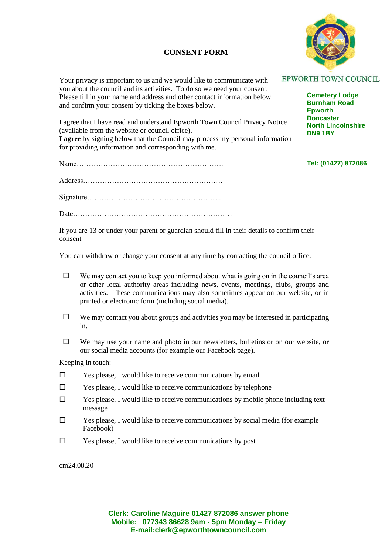## **CONSENT FORM**



Your privacy is important to us and we would like to communicate with you about the council and its activities. To do so we need your consent. Please fill in your name and address and other contact information below and confirm your consent by ticking the boxes below.

I agree that I have read and understand Epworth Town Council Privacy Notice (available from the website or council office). **I agree** by signing below that the Council may process my personal information for providing information and corresponding with me.

Name…………………………………………………….

Address………………………………………………….

Signature………………………………………………..

Date…………………………………………………………

If you are 13 or under your parent or guardian should fill in their details to confirm their consent

You can withdraw or change your consent at any time by contacting the council office.

- $\Box$  We may contact you to keep you informed about what is going on in the council's area or other local authority areas including news, events, meetings, clubs, groups and activities. These communications may also sometimes appear on our website, or in printed or electronic form (including social media).
- $\Box$  We may contact you about groups and activities you may be interested in participating in.
- $\Box$  We may use your name and photo in our newsletters, bulletins or on our website, or our social media accounts (for example our Facebook page).

Keeping in touch:

- $\square$  Yes please, I would like to receive communications by email
- $\square$  Yes please, I would like to receive communications by telephone
- $\square$  Yes please, I would like to receive communications by mobile phone including text message
- $\Box$  Yes please, I would like to receive communications by social media (for example Facebook)
- $\square$  Yes please, I would like to receive communications by post

cm24.08.20

**Clerk: Caroline Maguire 01427 872086 answer phone Mobile: 077343 86628 9am - 5pm Monday – Friday E-mail:clerk@epworthtowncouncil.com**

## **EPWORTH TOWN COUNCIL**

**Cemetery Lodge Burnham Road Epworth Doncaster North Lincolnshire DN9 1BY**

## **Tel: (01427) 872086**